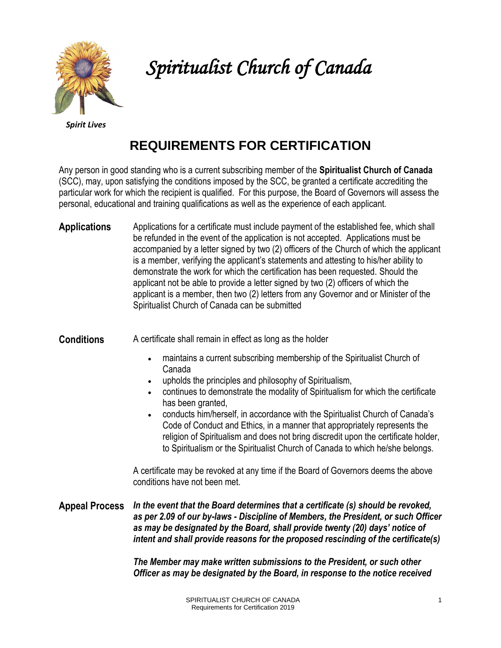

*Spiritualist Church of Canada* 

*Spirit Lives*

# **REQUIREMENTS FOR CERTIFICATION**

Any person in good standing who is a current subscribing member of the **Spiritualist Church of Canada** (SCC), may, upon satisfying the conditions imposed by the SCC, be granted a certificate accrediting the particular work for which the recipient is qualified. For this purpose, the Board of Governors will assess the personal, educational and training qualifications as well as the experience of each applicant.

**Applications** Applications for a certificate must include payment of the established fee, which shall be refunded in the event of the application is not accepted. Applications must be accompanied by a letter signed by two (2) officers of the Church of which the applicant is a member, verifying the applicant's statements and attesting to his/her ability to demonstrate the work for which the certification has been requested. Should the applicant not be able to provide a letter signed by two (2) officers of which the applicant is a member, then two (2) letters from any Governor and or Minister of the Spiritualist Church of Canada can be submitted

**Conditions** A certificate shall remain in effect as long as the holder

- maintains a current subscribing membership of the Spiritualist Church of Canada
- upholds the principles and philosophy of Spiritualism,
- continues to demonstrate the modality of Spiritualism for which the certificate has been granted,
- conducts him/herself, in accordance with the Spiritualist Church of Canada's Code of Conduct and Ethics, in a manner that appropriately represents the religion of Spiritualism and does not bring discredit upon the certificate holder, to Spiritualism or the Spiritualist Church of Canada to which he/she belongs.

A certificate may be revoked at any time if the Board of Governors deems the above conditions have not been met.

**Appeal Process** *In the event that the Board determines that a certificate (s) should be revoked, as per 2.09 of our by-laws - Discipline of Members, the President, or such Officer as may be designated by the Board, shall provide twenty (20) days' notice of intent and shall provide reasons for the proposed rescinding of the certificate(s)* 

> *The Member may make written submissions to the President, or such other Officer as may be designated by the Board, in response to the notice received*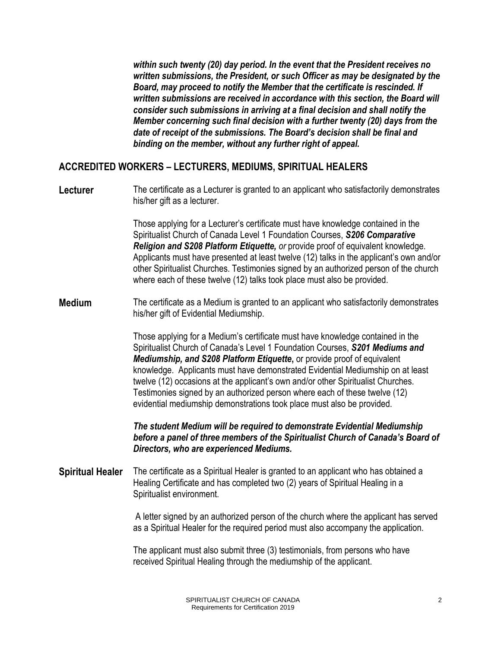*within such twenty (20) day period. In the event that the President receives no written submissions, the President, or such Officer as may be designated by the Board, may proceed to notify the Member that the certificate is rescinded. If*  written submissions are received in accordance with this section, the Board will *consider such submissions in arriving at a final decision and shall notify the Member concerning such final decision with a further twenty (20) days from the date of receipt of the submissions. The Board's decision shall be final and binding on the member, without any further right of appeal.*

### **ACCREDITED WORKERS – LECTURERS, MEDIUMS, SPIRITUAL HEALERS**

**Lecturer** The certificate as a Lecturer is granted to an applicant who satisfactorily demonstrates his/her gift as a lecturer.

> Those applying for a Lecturer's certificate must have knowledge contained in the Spiritualist Church of Canada Level 1 Foundation Courses, *S206 Comparative Religion and S208 Platform Etiquette, or* provide proof of equivalent knowledge. Applicants must have presented at least twelve (12) talks in the applicant's own and/or other Spiritualist Churches. Testimonies signed by an authorized person of the church where each of these twelve (12) talks took place must also be provided.

#### **Medium** The certificate as a Medium is granted to an applicant who satisfactorily demonstrates his/her gift of Evidential Mediumship.

Those applying for a Medium's certificate must have knowledge contained in the Spiritualist Church of Canada's Level 1 Foundation Courses, *S201 Mediums and Mediumship, and S208 Platform Etiquette***,** or provide proof of equivalent knowledge. Applicants must have demonstrated Evidential Mediumship on at least twelve (12) occasions at the applicant's own and/or other Spiritualist Churches. Testimonies signed by an authorized person where each of these twelve (12) evidential mediumship demonstrations took place must also be provided.

*The student Medium will be required to demonstrate Evidential Mediumship before a panel of three members of the Spiritualist Church of Canada's Board of Directors, who are experienced Mediums.* 

#### **Spiritual Healer** The certificate as a Spiritual Healer is granted to an applicant who has obtained a Healing Certificate and has completed two (2) years of Spiritual Healing in a Spiritualist environment.

A letter signed by an authorized person of the church where the applicant has served as a Spiritual Healer for the required period must also accompany the application.

The applicant must also submit three (3) testimonials, from persons who have received Spiritual Healing through the mediumship of the applicant.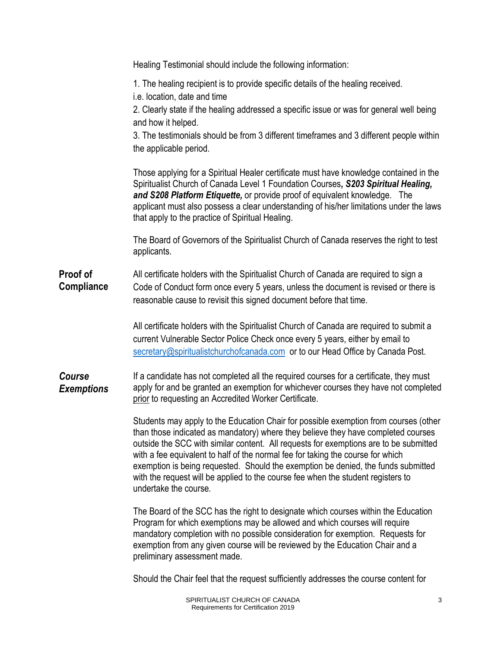|                                      | Healing Testimonial should include the following information:                                                                                                                                                                                                                                                                                                                                                                                                                                                                                           |
|--------------------------------------|---------------------------------------------------------------------------------------------------------------------------------------------------------------------------------------------------------------------------------------------------------------------------------------------------------------------------------------------------------------------------------------------------------------------------------------------------------------------------------------------------------------------------------------------------------|
|                                      | 1. The healing recipient is to provide specific details of the healing received.<br>i.e. location, date and time<br>2. Clearly state if the healing addressed a specific issue or was for general well being<br>and how it helped.<br>3. The testimonials should be from 3 different timeframes and 3 different people within                                                                                                                                                                                                                           |
|                                      | the applicable period.<br>Those applying for a Spiritual Healer certificate must have knowledge contained in the<br>Spiritualist Church of Canada Level 1 Foundation Courses, S203 Spiritual Healing,<br>and S208 Platform Etiquette, or provide proof of equivalent knowledge. The<br>applicant must also possess a clear understanding of his/her limitations under the laws<br>that apply to the practice of Spiritual Healing.                                                                                                                      |
|                                      | The Board of Governors of the Spiritualist Church of Canada reserves the right to test<br>applicants.                                                                                                                                                                                                                                                                                                                                                                                                                                                   |
| <b>Proof of</b><br><b>Compliance</b> | All certificate holders with the Spiritualist Church of Canada are required to sign a<br>Code of Conduct form once every 5 years, unless the document is revised or there is<br>reasonable cause to revisit this signed document before that time.                                                                                                                                                                                                                                                                                                      |
|                                      | All certificate holders with the Spiritualist Church of Canada are required to submit a<br>current Vulnerable Sector Police Check once every 5 years, either by email to<br>secretary@spiritualistchurchofcanada.com or to our Head Office by Canada Post.                                                                                                                                                                                                                                                                                              |
| Course<br><b>Exemptions</b>          | If a candidate has not completed all the required courses for a certificate, they must<br>apply for and be granted an exemption for whichever courses they have not completed<br>prior to requesting an Accredited Worker Certificate.                                                                                                                                                                                                                                                                                                                  |
|                                      | Students may apply to the Education Chair for possible exemption from courses (other<br>than those indicated as mandatory) where they believe they have completed courses<br>outside the SCC with similar content. All requests for exemptions are to be submitted<br>with a fee equivalent to half of the normal fee for taking the course for which<br>exemption is being requested. Should the exemption be denied, the funds submitted<br>with the request will be applied to the course fee when the student registers to<br>undertake the course. |
|                                      | The Board of the SCC has the right to designate which courses within the Education<br>Program for which exemptions may be allowed and which courses will require<br>mandatory completion with no possible consideration for exemption. Requests for<br>exemption from any given course will be reviewed by the Education Chair and a<br>preliminary assessment made.                                                                                                                                                                                    |
|                                      | Should the Chair feel that the request sufficiently addresses the course content for                                                                                                                                                                                                                                                                                                                                                                                                                                                                    |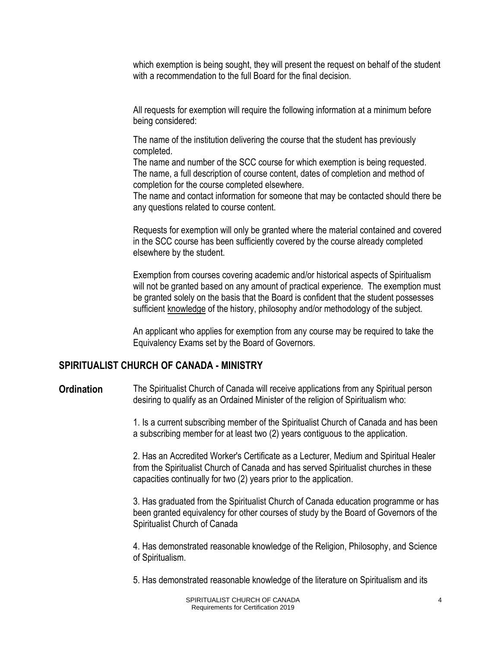which exemption is being sought, they will present the request on behalf of the student with a recommendation to the full Board for the final decision

All requests for exemption will require the following information at a minimum before being considered:

The name of the institution delivering the course that the student has previously completed.

The name and number of the SCC course for which exemption is being requested. The name, a full description of course content, dates of completion and method of completion for the course completed elsewhere.

The name and contact information for someone that may be contacted should there be any questions related to course content.

Requests for exemption will only be granted where the material contained and covered in the SCC course has been sufficiently covered by the course already completed elsewhere by the student.

Exemption from courses covering academic and/or historical aspects of Spiritualism will not be granted based on any amount of practical experience. The exemption must be granted solely on the basis that the Board is confident that the student possesses sufficient knowledge of the history, philosophy and/or methodology of the subject.

An applicant who applies for exemption from any course may be required to take the Equivalency Exams set by the Board of Governors*.*

#### **SPIRITUALIST CHURCH OF CANADA - MINISTRY**

**Ordination** The Spiritualist Church of Canada will receive applications from any Spiritual person desiring to qualify as an Ordained Minister of the religion of Spiritualism who:

> 1. Is a current subscribing member of the Spiritualist Church of Canada and has been a subscribing member for at least two (2) years contiguous to the application.

> 2. Has an Accredited Worker's Certificate as a Lecturer, Medium and Spiritual Healer from the Spiritualist Church of Canada and has served Spiritualist churches in these capacities continually for two (2) years prior to the application.

3. Has graduated from the Spiritualist Church of Canada education programme or has been granted equivalency for other courses of study by the Board of Governors of the Spiritualist Church of Canada

4. Has demonstrated reasonable knowledge of the Religion, Philosophy, and Science of Spiritualism.

5. Has demonstrated reasonable knowledge of the literature on Spiritualism and its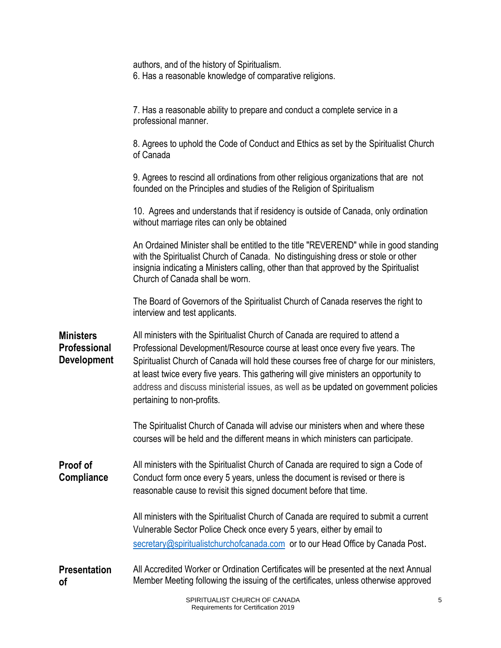|                                                               | authors, and of the history of Spiritualism.<br>6. Has a reasonable knowledge of comparative religions.                                                                                                                                                                                                                                                                                                                                                                 |
|---------------------------------------------------------------|-------------------------------------------------------------------------------------------------------------------------------------------------------------------------------------------------------------------------------------------------------------------------------------------------------------------------------------------------------------------------------------------------------------------------------------------------------------------------|
|                                                               | 7. Has a reasonable ability to prepare and conduct a complete service in a<br>professional manner.                                                                                                                                                                                                                                                                                                                                                                      |
|                                                               | 8. Agrees to uphold the Code of Conduct and Ethics as set by the Spiritualist Church<br>of Canada                                                                                                                                                                                                                                                                                                                                                                       |
|                                                               | 9. Agrees to rescind all ordinations from other religious organizations that are not<br>founded on the Principles and studies of the Religion of Spiritualism                                                                                                                                                                                                                                                                                                           |
|                                                               | 10. Agrees and understands that if residency is outside of Canada, only ordination<br>without marriage rites can only be obtained                                                                                                                                                                                                                                                                                                                                       |
|                                                               | An Ordained Minister shall be entitled to the title "REVEREND" while in good standing<br>with the Spiritualist Church of Canada. No distinguishing dress or stole or other<br>insignia indicating a Ministers calling, other than that approved by the Spiritualist<br>Church of Canada shall be worn.                                                                                                                                                                  |
|                                                               | The Board of Governors of the Spiritualist Church of Canada reserves the right to<br>interview and test applicants.                                                                                                                                                                                                                                                                                                                                                     |
| <b>Ministers</b><br><b>Professional</b><br><b>Development</b> | All ministers with the Spiritualist Church of Canada are required to attend a<br>Professional Development/Resource course at least once every five years. The<br>Spiritualist Church of Canada will hold these courses free of charge for our ministers,<br>at least twice every five years. This gathering will give ministers an opportunity to<br>address and discuss ministerial issues, as well as be updated on government policies<br>pertaining to non-profits. |
|                                                               | The Spiritualist Church of Canada will advise our ministers when and where these<br>courses will be held and the different means in which ministers can participate.                                                                                                                                                                                                                                                                                                    |
| <b>Proof of</b><br><b>Compliance</b>                          | All ministers with the Spiritualist Church of Canada are required to sign a Code of<br>Conduct form once every 5 years, unless the document is revised or there is<br>reasonable cause to revisit this signed document before that time.                                                                                                                                                                                                                                |
|                                                               | All ministers with the Spiritualist Church of Canada are required to submit a current<br>Vulnerable Sector Police Check once every 5 years, either by email to<br>secretary@spiritualistchurchofcanada.com or to our Head Office by Canada Post.                                                                                                                                                                                                                        |
| <b>Presentation</b><br>οf                                     | All Accredited Worker or Ordination Certificates will be presented at the next Annual<br>Member Meeting following the issuing of the certificates, unless otherwise approved                                                                                                                                                                                                                                                                                            |